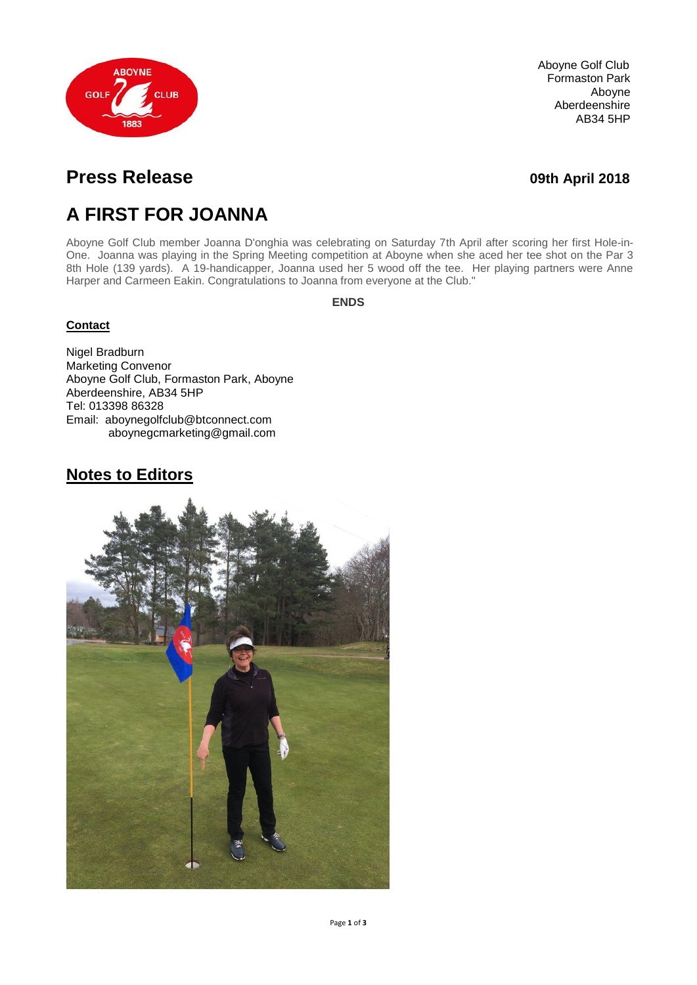

Aboyne Golf Club Formaston Park Aboyne Aberdeenshire AB34 5HP

# **Press Release** *Department* **<b>COVID-1000** *COVID-2018 O9th April 2018*

# **A FIRST FOR JOANNA**

Aboyne Golf Club member Joanna D'onghia was celebrating on Saturday 7th April after scoring her first Hole-in-One. Joanna was playing in the Spring Meeting competition at Aboyne when she aced her tee shot on the Par 3 8th Hole (139 yards). A 19-handicapper, Joanna used her 5 wood off the tee. Her playing partners were Anne Harper and Carmeen Eakin. Congratulations to Joanna from everyone at the Club."

**ENDS**

#### **Contact**

Nigel Bradburn Marketing Convenor Aboyne Golf Club, Formaston Park, Aboyne Aberdeenshire, AB34 5HP Tel: 013398 86328 Email: aboynegolfclub@btconnect.com aboynegcmarketing@gmail.com

## **Notes to Editors**

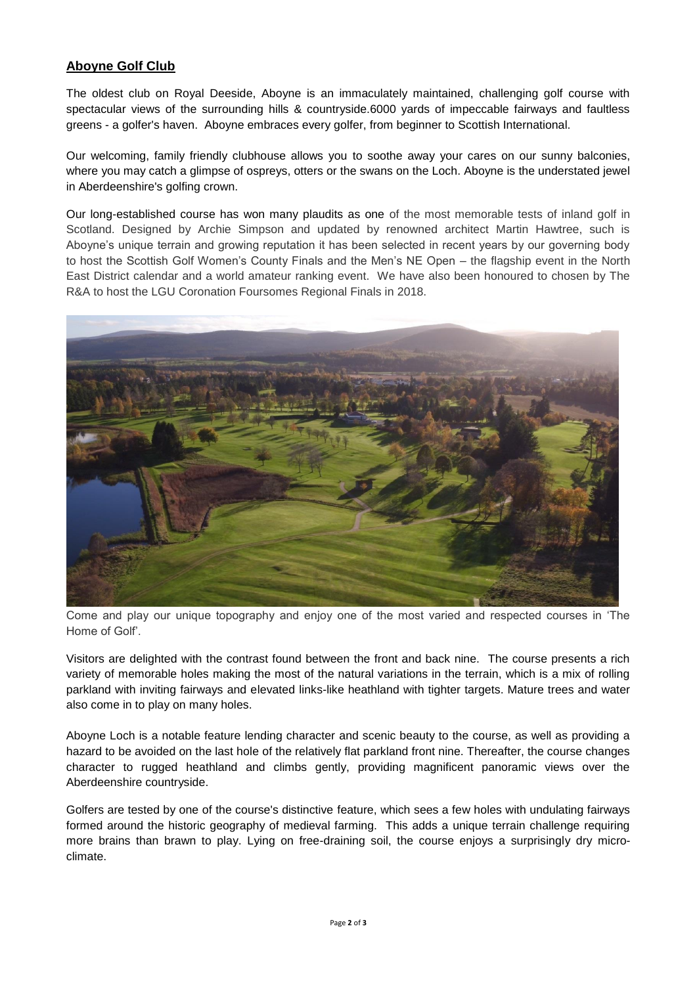### **Aboyne Golf Club**

The oldest club on Royal Deeside, Aboyne is an immaculately maintained, challenging golf course with spectacular views of the surrounding hills & countryside.6000 yards of impeccable fairways and faultless greens - a golfer's haven. Aboyne embraces every golfer, from beginner to Scottish International.

Our welcoming, family friendly clubhouse allows you to soothe away your cares on our sunny balconies, where you may catch a glimpse of ospreys, otters or the swans on the Loch. Aboyne is the understated jewel in Aberdeenshire's golfing crown.

Our long-established course has won many plaudits as one of the most memorable tests of inland golf in Scotland. Designed by Archie Simpson and updated by renowned architect Martin Hawtree, such is Aboyne's unique terrain and growing reputation it has been selected in recent years by our governing body to host the Scottish Golf Women's County Finals and the Men's NE Open – the flagship event in the North East District calendar and a world amateur ranking event. We have also been honoured to chosen by The R&A to host the LGU Coronation Foursomes Regional Finals in 2018.



Come and play our unique topography and enjoy one of the most varied and respected courses in 'The Home of Golf'.

Visitors are delighted with the contrast found between the front and back nine. The course presents a rich variety of memorable holes making the most of the natural variations in the terrain, which is a mix of rolling parkland with inviting fairways and elevated links-like heathland with tighter targets. Mature trees and water also come in to play on many holes.

Aboyne Loch is a notable feature lending character and scenic beauty to the course, as well as providing a hazard to be avoided on the last hole of the relatively flat parkland front nine. Thereafter, the course changes character to rugged heathland and climbs gently, providing magnificent panoramic views over the Aberdeenshire countryside.

Golfers are tested by one of the course's distinctive feature, which sees a few holes with undulating fairways formed around the historic geography of medieval farming. This adds a unique terrain challenge requiring more brains than brawn to play. Lying on free-draining soil, the course enjoys a surprisingly dry microclimate.